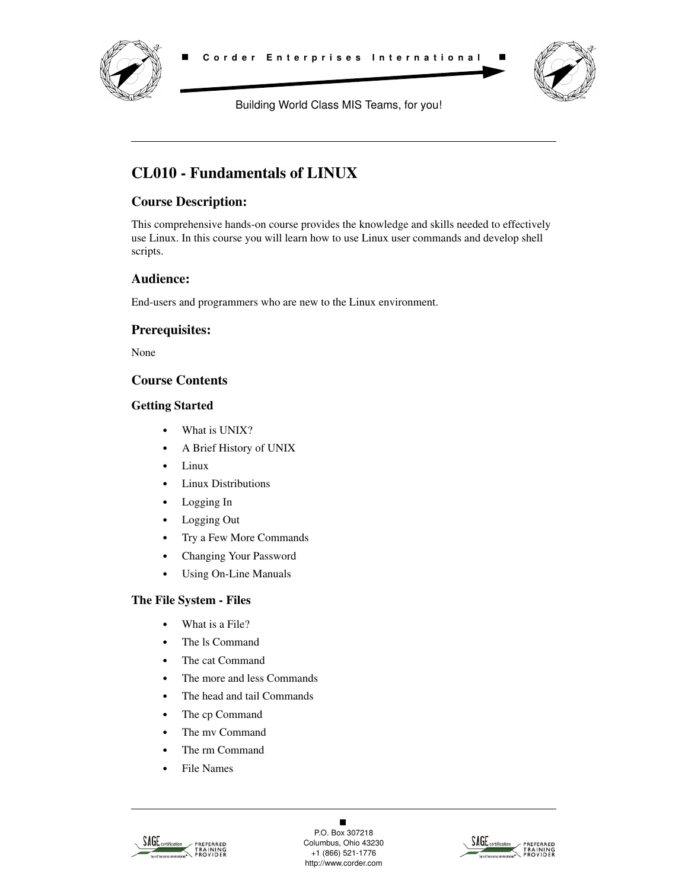



Building World Class MIS Teams, for you!

# **CL010 - Fundamentals of LINUX**

# **Course Description:**

This comprehensive hands-on course provides the knowledge and skills needed to effectively use Linux. In this course you will learn how to use Linux user commands and develop shell scripts.

# **Audience:**

End-users and programmers who are new to the Linux environment.

# **Prerequisites:**

None

# **Course Contents**

### **Getting Started**

- **•** What is UNIX?
- **•** A Brief History of UNIX
- **•** Linux
- **•** Linux Distributions
- **•** Logging In
- **•** Logging Out
- **•** Try a Few More Commands
- **•** Changing Your Password
- **•** Using On-Line Manuals

### **The File System - Files**

- **•** What is a File?
- **•** The ls Command
- **•** The cat Command
- **•** The more and less Commands
- **•** The head and tail Commands
- **•** The cp Command
- **•** The mv Command
- **•** The rm Command
- **•** File Names



 $\blacksquare$ P.O. Box 307218 Columbus, Ohio 43230 +1 (866) 521-1776 http://www.corder.com

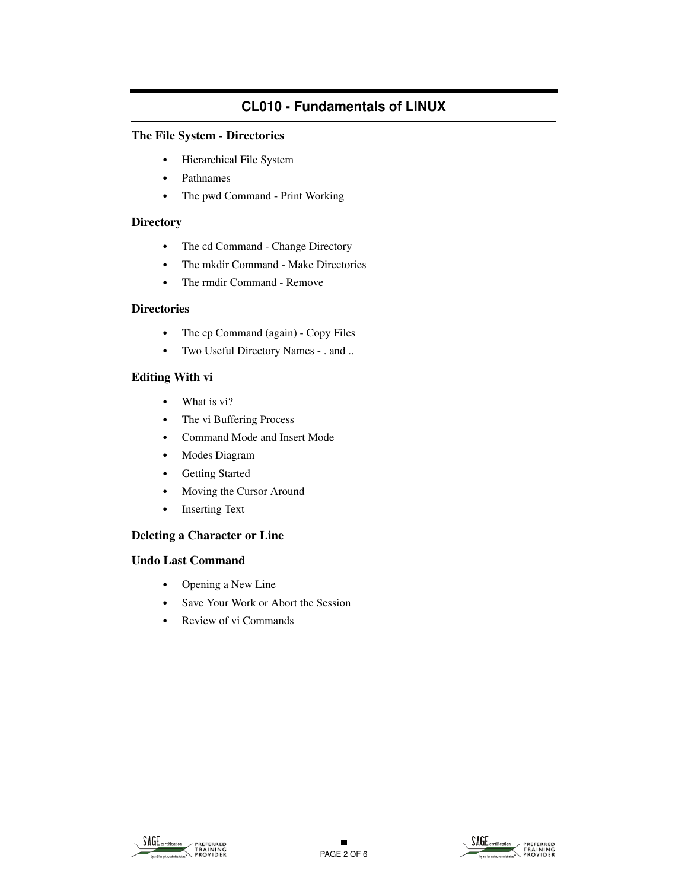# **The File System - Directories**

- **•** Hierarchical File System
- **•** Pathnames
- **•** The pwd Command Print Working

#### **Directory**

- **•** The cd Command Change Directory
- **•** The mkdir Command Make Directories
- **•** The rmdir Command Remove

#### **Directories**

- **•** The cp Command (again) Copy Files
- **•** Two Useful Directory Names . and ..

### **Editing With vi**

- **•** What is vi?
- **•** The vi Buffering Process
- **•** Command Mode and Insert Mode
- **•** Modes Diagram
- **•** Getting Started
- **•** Moving the Cursor Around
- **•** Inserting Text

### **Deleting a Character or Line**

#### **Undo Last Command**

- **•** Opening a New Line
- **•** Save Your Work or Abort the Session
- **•** Review of vi Commands



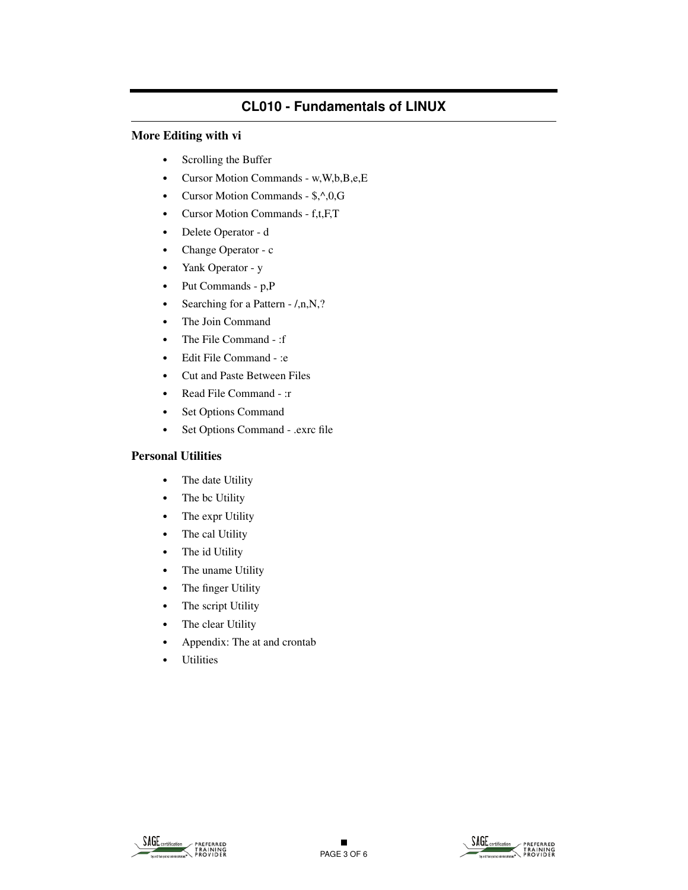#### **More Editing with vi**

- **•** Scrolling the Buffer
- **•** Cursor Motion Commands w,W,b,B,e,E
- **•** Cursor Motion Commands \$,^,0,G
- **•** Cursor Motion Commands f,t,F,T
- **•** Delete Operator d
- **•** Change Operator c
- **•** Yank Operator y
- **•** Put Commands p,P
- Searching for a Pattern  $/$ ,n,N,?
- **•** The Join Command
- **•** The File Command :f
- **•** Edit File Command :e
- **•** Cut and Paste Between Files
- **•** Read File Command :r
- **•** Set Options Command
- **•** Set Options Command .exrc file

#### **Personal Utilities**

- **•** The date Utility
- **•** The bc Utility
- **•** The expr Utility
- **•** The cal Utility
- **•** The id Utility
- **•** The uname Utility
- **•** The finger Utility
- **•** The script Utility
- **•** The clear Utility
- **•** Appendix: The at and crontab
- **•** Utilities



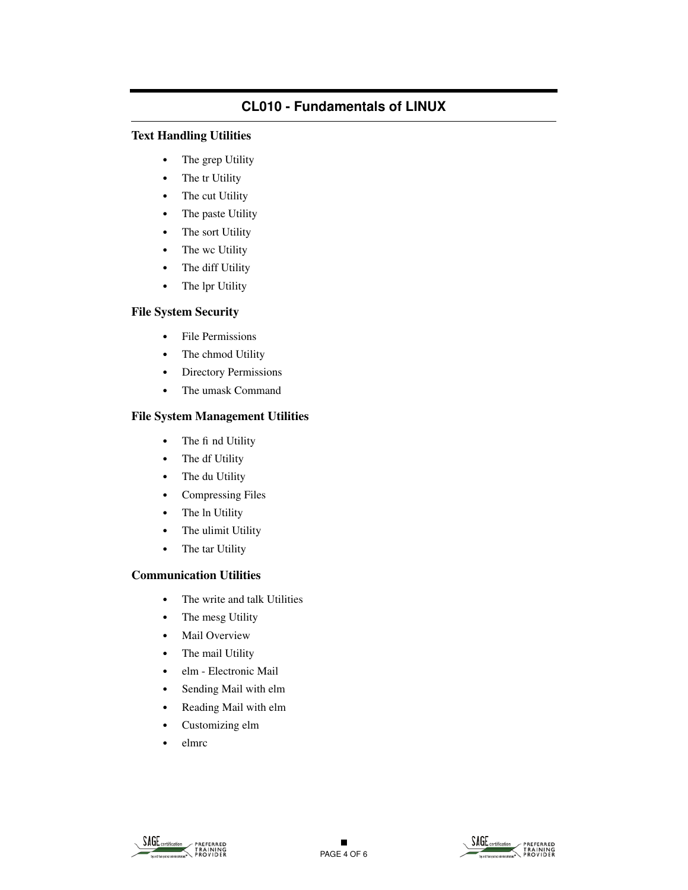# **Text Handling Utilities**

- **•** The grep Utility
- **•** The tr Utility
- **•** The cut Utility
- **•** The paste Utility
- **•** The sort Utility
- **•** The wc Utility
- **•** The diff Utility
- **•** The lpr Utility

# **File System Security**

- **•** File Permissions
- **•** The chmod Utility
- **•** Directory Permissions
- **•** The umask Command

# **File System Management Utilities**

- The fi nd Utility
- **•** The df Utility
- **•** The du Utility
- **•** Compressing Files
- **•** The ln Utility
- **•** The ulimit Utility
- **•** The tar Utility

# **Communication Utilities**

- **•** The write and talk Utilities
- **•** The mesg Utility
- **•** Mail Overview
- **•** The mail Utility
- **•** elm Electronic Mail
- **•** Sending Mail with elm
- **•** Reading Mail with elm
- **•** Customizing elm
- **•** elmrc

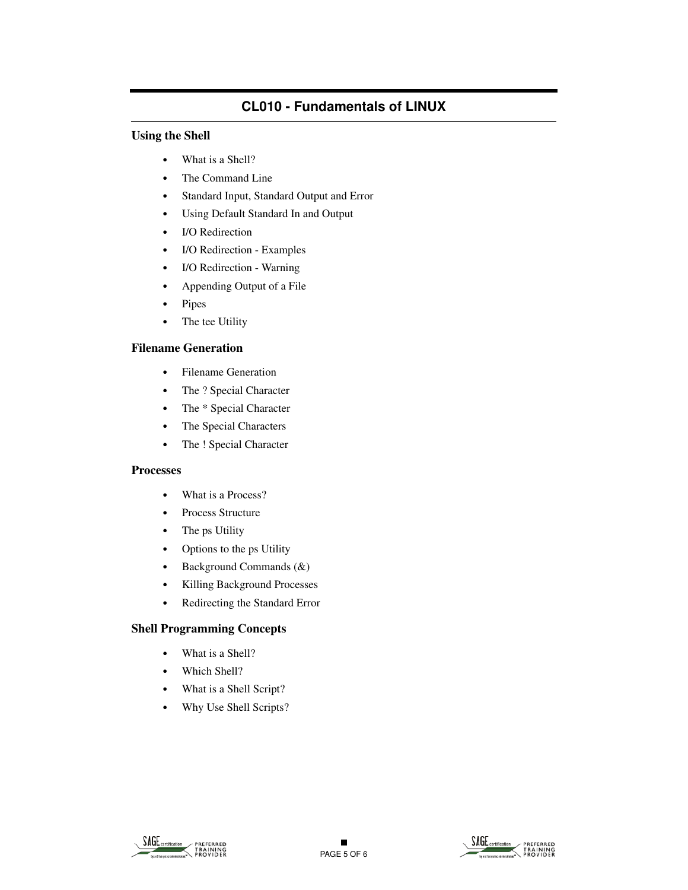# **Using the Shell**

- **•** What is a Shell?
- **•** The Command Line
- **•** Standard Input, Standard Output and Error
- **•** Using Default Standard In and Output
- **•** I/O Redirection
- **•** I/O Redirection Examples
- **•** I/O Redirection Warning
- **•** Appending Output of a File
- **•** Pipes
- **•** The tee Utility

# **Filename Generation**

- **•** Filename Generation
- **•** The ? Special Character
- **•** The \* Special Character
- **•** The Special Characters
- **•** The ! Special Character

### **Processes**

- **•** What is a Process?
- **•** Process Structure
- **•** The ps Utility
- **•** Options to the ps Utility
- **•** Background Commands (&)
- **•** Killing Background Processes
- **•** Redirecting the Standard Error

# **Shell Programming Concepts**

- **•** What is a Shell?
- **•** Which Shell?
- **•** What is a Shell Script?
- **•** Why Use Shell Scripts?